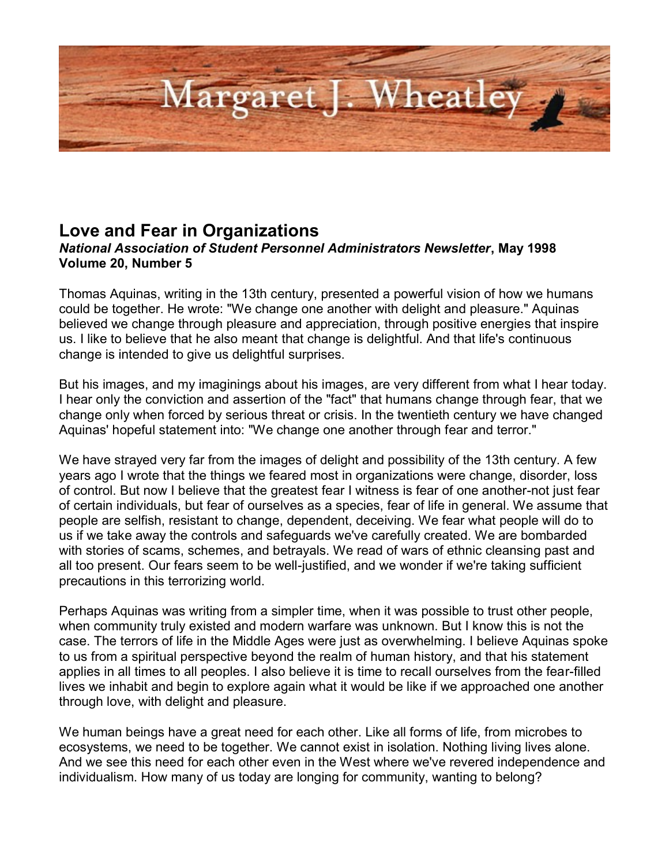

## **Love and Fear in Organizations**

## *National Association of Student Personnel Administrators Newsletter***, May 1998 Volume 20, Number 5**

Thomas Aquinas, writing in the 13th century, presented a powerful vision of how we humans could be together. He wrote: "We change one another with delight and pleasure." Aquinas believed we change through pleasure and appreciation, through positive energies that inspire us. I like to believe that he also meant that change is delightful. And that life's continuous change is intended to give us delightful surprises.

But his images, and my imaginings about his images, are very different from what I hear today. I hear only the conviction and assertion of the "fact" that humans change through fear, that we change only when forced by serious threat or crisis. In the twentieth century we have changed Aquinas' hopeful statement into: "We change one another through fear and terror."

We have strayed very far from the images of delight and possibility of the 13th century. A few years ago I wrote that the things we feared most in organizations were change, disorder, loss of control. But now I believe that the greatest fear I witness is fear of one another-not just fear of certain individuals, but fear of ourselves as a species, fear of life in general. We assume that people are selfish, resistant to change, dependent, deceiving. We fear what people will do to us if we take away the controls and safeguards we've carefully created. We are bombarded with stories of scams, schemes, and betrayals. We read of wars of ethnic cleansing past and all too present. Our fears seem to be well-justified, and we wonder if we're taking sufficient precautions in this terrorizing world.

Perhaps Aquinas was writing from a simpler time, when it was possible to trust other people, when community truly existed and modern warfare was unknown. But I know this is not the case. The terrors of life in the Middle Ages were just as overwhelming. I believe Aquinas spoke to us from a spiritual perspective beyond the realm of human history, and that his statement applies in all times to all peoples. I also believe it is time to recall ourselves from the fear-filled lives we inhabit and begin to explore again what it would be like if we approached one another through love, with delight and pleasure.

We human beings have a great need for each other. Like all forms of life, from microbes to ecosystems, we need to be together. We cannot exist in isolation. Nothing living lives alone. And we see this need for each other even in the West where we've revered independence and individualism. How many of us today are longing for community, wanting to belong?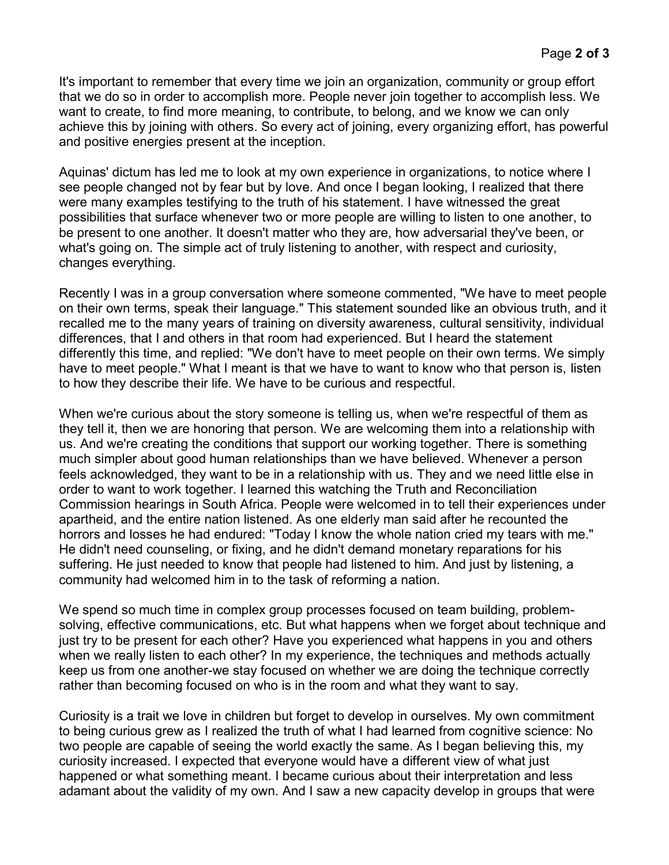It's important to remember that every time we join an organization, community or group effort that we do so in order to accomplish more. People never join together to accomplish less. We want to create, to find more meaning, to contribute, to belong, and we know we can only achieve this by joining with others. So every act of joining, every organizing effort, has powerful and positive energies present at the inception.

Aquinas' dictum has led me to look at my own experience in organizations, to notice where I see people changed not by fear but by love. And once I began looking, I realized that there were many examples testifying to the truth of his statement. I have witnessed the great possibilities that surface whenever two or more people are willing to listen to one another, to be present to one another. It doesn't matter who they are, how adversarial they've been, or what's going on. The simple act of truly listening to another, with respect and curiosity, changes everything.

Recently I was in a group conversation where someone commented, "We have to meet people on their own terms, speak their language." This statement sounded like an obvious truth, and it recalled me to the many years of training on diversity awareness, cultural sensitivity, individual differences, that I and others in that room had experienced. But I heard the statement differently this time, and replied: "We don't have to meet people on their own terms. We simply have to meet people." What I meant is that we have to want to know who that person is, listen to how they describe their life. We have to be curious and respectful.

When we're curious about the story someone is telling us, when we're respectful of them as they tell it, then we are honoring that person. We are welcoming them into a relationship with us. And we're creating the conditions that support our working together. There is something much simpler about good human relationships than we have believed. Whenever a person feels acknowledged, they want to be in a relationship with us. They and we need little else in order to want to work together. I learned this watching the Truth and Reconciliation Commission hearings in South Africa. People were welcomed in to tell their experiences under apartheid, and the entire nation listened. As one elderly man said after he recounted the horrors and losses he had endured: "Today I know the whole nation cried my tears with me." He didn't need counseling, or fixing, and he didn't demand monetary reparations for his suffering. He just needed to know that people had listened to him. And just by listening, a community had welcomed him in to the task of reforming a nation.

We spend so much time in complex group processes focused on team building, problemsolving, effective communications, etc. But what happens when we forget about technique and just try to be present for each other? Have you experienced what happens in you and others when we really listen to each other? In my experience, the techniques and methods actually keep us from one another-we stay focused on whether we are doing the technique correctly rather than becoming focused on who is in the room and what they want to say.

Curiosity is a trait we love in children but forget to develop in ourselves. My own commitment to being curious grew as I realized the truth of what I had learned from cognitive science: No two people are capable of seeing the world exactly the same. As I began believing this, my curiosity increased. I expected that everyone would have a different view of what just happened or what something meant. I became curious about their interpretation and less adamant about the validity of my own. And I saw a new capacity develop in groups that were